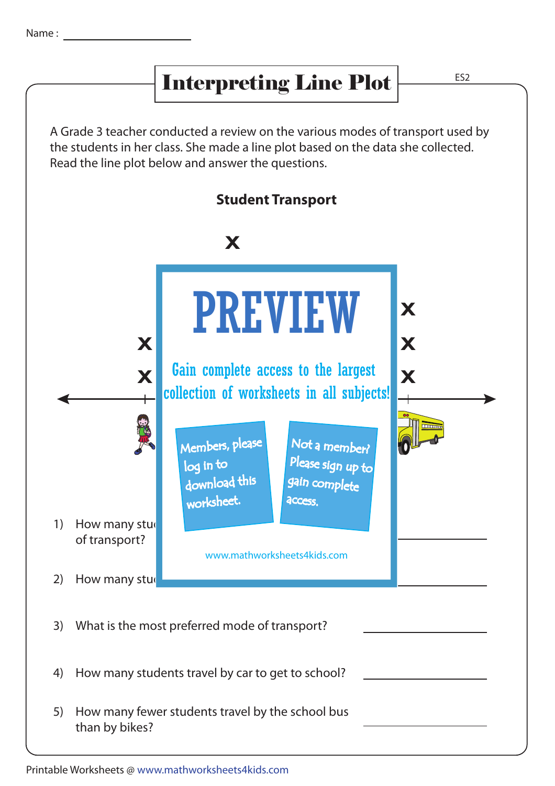## Interpreting Line Plot

ES2

A Grade 3 teacher conducted a review on the various modes of transport used by the students in her class. She made a line plot based on the data she collected. Read the line plot below and answer the questions.